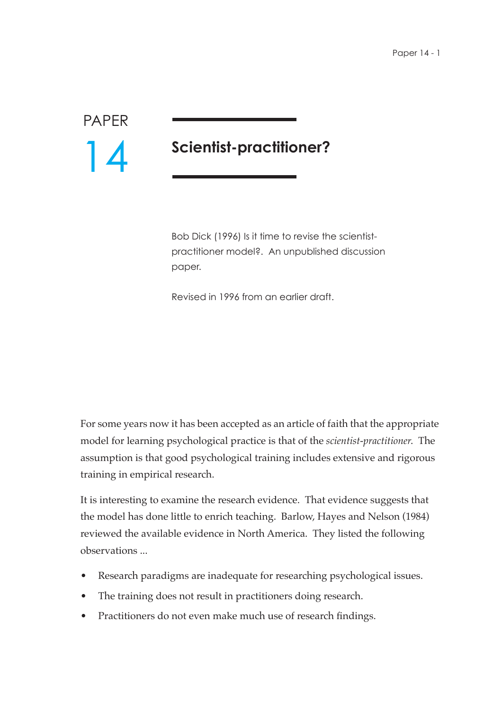## PAPER 14

## **Scientist-practitioner?**

Bob Dick (1996) Is it time to revise the scientistpractitioner model?. An unpublished discussion paper.

Revised in 1996 from an earlier draft.

For some years now it has been accepted as an article of faith that the appropriate model for learning psychological practice is that of the *scientist-practitioner*. The assumption is that good psychological training includes extensive and rigorous training in empirical research.

It is interesting to examine the research evidence. That evidence suggests that the model has done little to enrich teaching. Barlow, Hayes and Nelson (1984) reviewed the available evidence in North America. They listed the following observations ...

- Research paradigms are inadequate for researching psychological issues.
- The training does not result in practitioners doing research.
- Practitioners do not even make much use of research findings.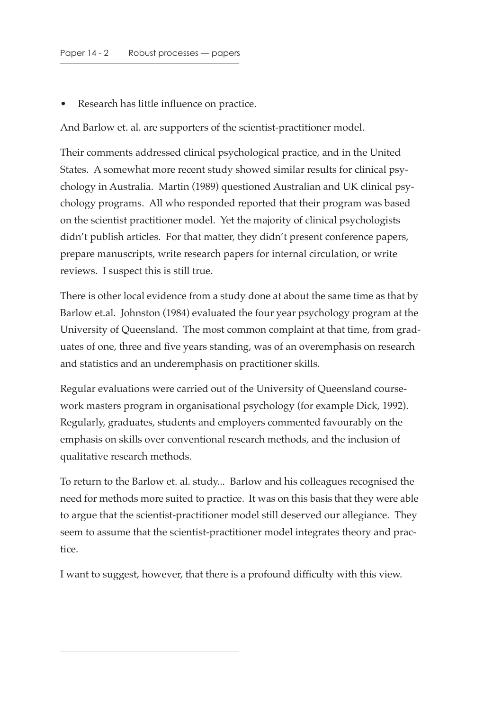Research has little influence on practice.

And Barlow et. al. are supporters of the scientist-practitioner model.

Their comments addressed clinical psychological practice, and in the United States. A somewhat more recent study showed similar results for clinical psychology in Australia. Martin (1989) questioned Australian and UK clinical psychology programs. All who responded reported that their program was based on the scientist practitioner model. Yet the majority of clinical psychologists didn't publish articles. For that matter, they didn't present conference papers, prepare manuscripts, write research papers for internal circulation, or write reviews. I suspect this is still true.

There is other local evidence from a study done at about the same time as that by Barlow et.al. Johnston (1984) evaluated the four year psychology program at the University of Queensland. The most common complaint at that time, from graduates of one, three and five years standing, was of an overemphasis on research and statistics and an underemphasis on practitioner skills.

Regular evaluations were carried out of the University of Queensland coursework masters program in organisational psychology (for example Dick, 1992). Regularly, graduates, students and employers commented favourably on the emphasis on skills over conventional research methods, and the inclusion of qualitative research methods.

To return to the Barlow et. al. study... Barlow and his colleagues recognised the need for methods more suited to practice. It was on this basis that they were able to argue that the scientist-practitioner model still deserved our allegiance. They seem to assume that the scientist-practitioner model integrates theory and practice.

I want to suggest, however, that there is a profound difficulty with this view.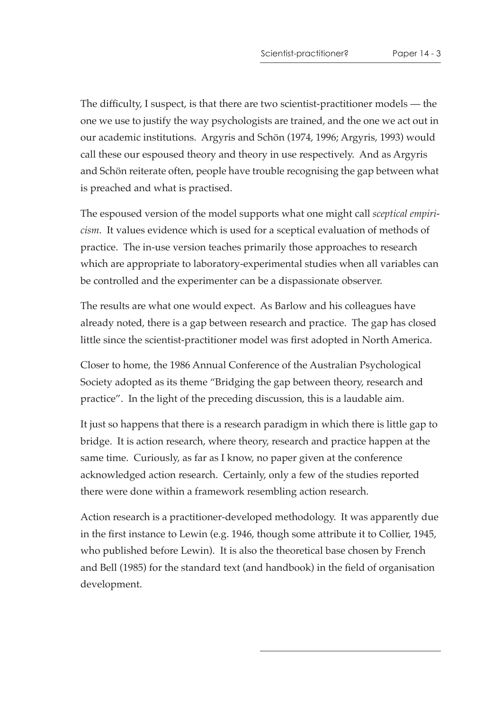The difficulty, I suspect, is that there are two scientist-practitioner models — the one we use to justify the way psychologists are trained, and the one we act out in our academic institutions. Argyris and Schön (1974, 1996; Argyris, 1993) would call these our espoused theory and theory in use respectively. And as Argyris and Schön reiterate often, people have trouble recognising the gap between what is preached and what is practised.

The espoused version of the model supports what one might call *sceptical empiricism*. It values evidence which is used for a sceptical evaluation of methods of practice. The in-use version teaches primarily those approaches to research which are appropriate to laboratory-experimental studies when all variables can be controlled and the experimenter can be a dispassionate observer.

The results are what one would expect. As Barlow and his colleagues have already noted, there is a gap between research and practice. The gap has closed little since the scientist-practitioner model was first adopted in North America.

Closer to home, the 1986 Annual Conference of the Australian Psychological Society adopted as its theme "Bridging the gap between theory, research and practice". In the light of the preceding discussion, this is a laudable aim.

It just so happens that there is a research paradigm in which there is little gap to bridge. It is action research, where theory, research and practice happen at the same time. Curiously, as far as I know, no paper given at the conference acknowledged action research. Certainly, only a few of the studies reported there were done within a framework resembling action research.

Action research is a practitioner-developed methodology. It was apparently due in the first instance to Lewin (e.g. 1946, though some attribute it to Collier, 1945, who published before Lewin). It is also the theoretical base chosen by French and Bell (1985) for the standard text (and handbook) in the field of organisation development.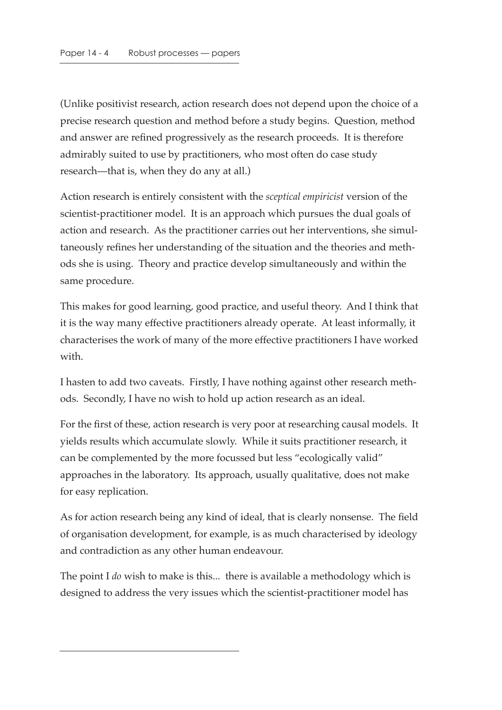(Unlike positivist research, action research does not depend upon the choice of a precise research question and method before a study begins. Question, method and answer are refined progressively as the research proceeds. It is therefore admirably suited to use by practitioners, who most often do case study research—that is, when they do any at all.)

Action research is entirely consistent with the *sceptical empiricist* version of the scientist-practitioner model. It is an approach which pursues the dual goals of action and research. As the practitioner carries out her interventions, she simultaneously refines her understanding of the situation and the theories and methods she is using. Theory and practice develop simultaneously and within the same procedure.

This makes for good learning, good practice, and useful theory. And I think that it is the way many effective practitioners already operate. At least informally, it characterises the work of many of the more effective practitioners I have worked with.

I hasten to add two caveats. Firstly, I have nothing against other research methods. Secondly, I have no wish to hold up action research as an ideal.

For the first of these, action research is very poor at researching causal models. It yields results which accumulate slowly. While it suits practitioner research, it can be complemented by the more focussed but less "ecologically valid" approaches in the laboratory. Its approach, usually qualitative, does not make for easy replication.

As for action research being any kind of ideal, that is clearly nonsense. The field of organisation development, for example, is as much characterised by ideology and contradiction as any other human endeavour.

The point I *do* wish to make is this... there is available a methodology which is designed to address the very issues which the scientist-practitioner model has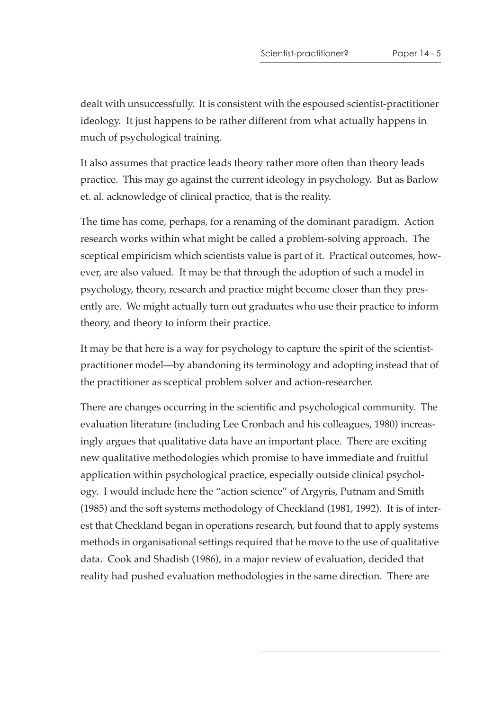dealt with unsuccessfully. It is consistent with the espoused scientist-practitioner ideology. It just happens to be rather different from what actually happens in much of psychological training.

It also assumes that practice leads theory rather more often than theory leads practice. This may go against the current ideology in psychology. But as Barlow et. al. acknowledge of clinical practice, that is the reality.

The time has come, perhaps, for a renaming of the dominant paradigm. Action research works within what might be called a problem-solving approach. The sceptical empiricism which scientists value is part of it. Practical outcomes, however, are also valued. It may be that through the adoption of such a model in psychology, theory, research and practice might become closer than they presently are. We might actually turn out graduates who use their practice to inform theory, and theory to inform their practice.

It may be that here is a way for psychology to capture the spirit of the scientistpractitioner model—by abandoning its terminology and adopting instead that of the practitioner as sceptical problem solver and action-researcher.

There are changes occurring in the scientific and psychological community. The evaluation literature (including Lee Cronbach and his colleagues, 1980) increasingly argues that qualitative data have an important place. There are exciting new qualitative methodologies which promise to have immediate and fruitful application within psychological practice, especially outside clinical psychology. I would include here the "action science" of Argyris, Putnam and Smith (1985) and the soft systems methodology of Checkland (1981, 1992). It is of interest that Checkland began in operations research, but found that to apply systems methods in organisational settings required that he move to the use of qualitative data. Cook and Shadish (1986), in a major review of evaluation, decided that reality had pushed evaluation methodologies in the same direction. There are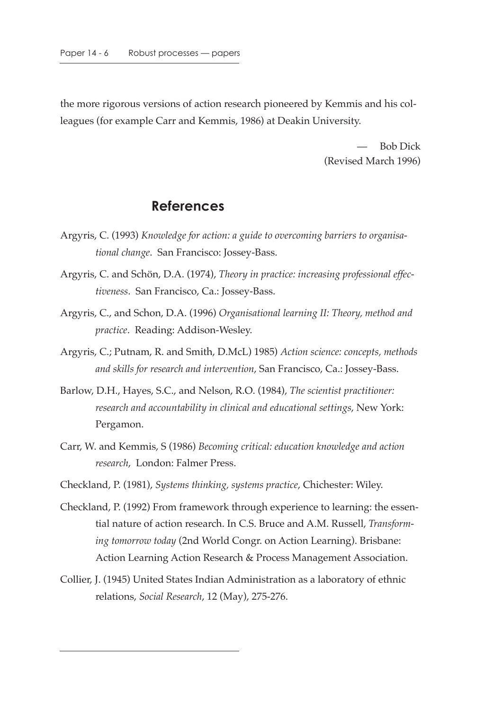the more rigorous versions of action research pioneered by Kemmis and his colleagues (for example Carr and Kemmis, 1986) at Deakin University.

> — Bob Dick (Revised March 1996)

## **References**

- Argyris, C. (1993) *Knowledge for action: a guide to overcoming barriers to organisational change*. San Francisco: Jossey-Bass.
- Argyris, C. and Schön, D.A. (1974), *Theory in practice: increasing professional effectiveness*. San Francisco, Ca.: Jossey-Bass.
- Argyris, C., and Schon, D.A. (1996) *Organisational learning II: Theory, method and practice*. Reading: Addison-Wesley.
- Argyris, C.; Putnam, R. and Smith, D.McL) 1985) *Action science: concepts, methods and skills for research and intervention*, San Francisco, Ca.: Jossey-Bass.
- Barlow, D.H., Hayes, S.C., and Nelson, R.O. (1984), *The scientist practitioner: research and accountability in clinical and educational settings*, New York: Pergamon.
- Carr, W. and Kemmis, S (1986) *Becoming critical: education knowledge and action research*, London: Falmer Press.
- Checkland, P. (1981), *Systems thinking, systems practice*, Chichester: Wiley.
- Checkland, P. (1992) From framework through experience to learning: the essential nature of action research. In C.S. Bruce and A.M. Russell, *Transforming tomorrow today* (2nd World Congr. on Action Learning). Brisbane: Action Learning Action Research & Process Management Association.
- Collier, J. (1945) United States Indian Administration as a laboratory of ethnic relations, *Social Research*, 12 (May), 275-276.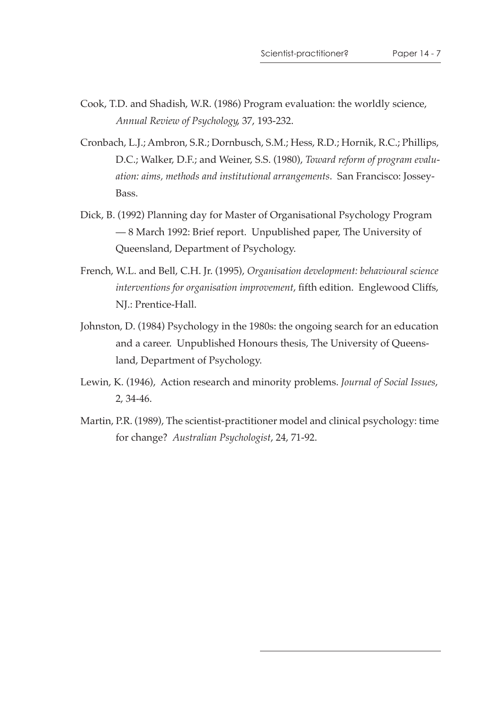- Cook, T.D. and Shadish, W.R. (1986) Program evaluation: the worldly science, *Annual Review of Psychology*, 37, 193-232.
- Cronbach, L.J.; Ambron, S.R.; Dornbusch, S.M.; Hess, R.D.; Hornik, R.C.; Phillips, D.C.; Walker, D.F.; and Weiner, S.S. (1980), *Toward reform of program evaluation: aims, methods and institutional arrangements*. San Francisco: Jossey-Bass.
- Dick, B. (1992) Planning day for Master of Organisational Psychology Program — 8 March 1992: Brief report. Unpublished paper, The University of Queensland, Department of Psychology.
- French, W.L. and Bell, C.H. Jr. (1995), *Organisation development: behavioural science interventions for organisation improvement*, fifth edition. Englewood Cliffs, NJ.: Prentice-Hall.
- Johnston, D. (1984) Psychology in the 1980s: the ongoing search for an education and a career. Unpublished Honours thesis, The University of Queensland, Department of Psychology.
- Lewin, K. (1946), Action research and minority problems. *Journal of Social Issues*, 2, 34-46.
- Martin, P.R. (1989), The scientist-practitioner model and clinical psychology: time for change? *Australian Psychologist*, 24, 71-92.